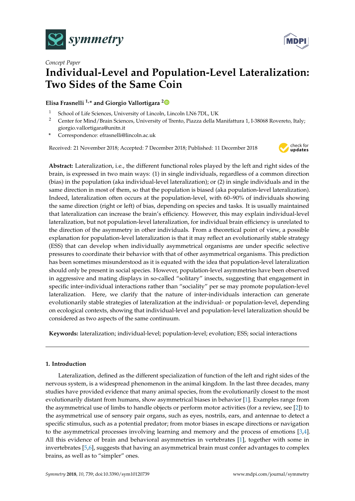



# *Concept Paper* **Individual-Level and Population-Level Lateralization: Two Sides of the Same Coin**

# **Elisa Frasnelli 1,\* and Giorgio Vallortigara [2](https://orcid.org/0000-0001-8192-9062)**

- <sup>1</sup> School of Life Sciences, University of Lincoln, Lincoln LN6 7DL, UK<br><sup>2</sup> Center for Mind / Brain Sciences, University of Trento, Piazza della M
- <sup>2</sup> Center for Mind/Brain Sciences, University of Trento, Piazza della Manifattura 1, I-38068 Rovereto, Italy; giorgio.vallortigara@unitn.it
- **\*** Correspondence: efrasnelli@lincoln.ac.uk

Received: 21 November 2018; Accepted: 7 December 2018; Published: 11 December 2018



**Abstract:** Lateralization, i.e., the different functional roles played by the left and right sides of the brain, is expressed in two main ways: (1) in single individuals, regardless of a common direction (bias) in the population (aka individual-level lateralization); or (2) in single individuals and in the same direction in most of them, so that the population is biased (aka population-level lateralization). Indeed, lateralization often occurs at the population-level, with 60–90% of individuals showing the same direction (right or left) of bias, depending on species and tasks. It is usually maintained that lateralization can increase the brain's efficiency. However, this may explain individual-level lateralization, but not population-level lateralization, for individual brain efficiency is unrelated to the direction of the asymmetry in other individuals. From a theoretical point of view, a possible explanation for population-level lateralization is that it may reflect an evolutionarily stable strategy (ESS) that can develop when individually asymmetrical organisms are under specific selective pressures to coordinate their behavior with that of other asymmetrical organisms. This prediction has been sometimes misunderstood as it is equated with the idea that population-level lateralization should only be present in social species. However, population-level asymmetries have been observed in aggressive and mating displays in so-called "solitary" insects, suggesting that engagement in specific inter-individual interactions rather than "sociality" per se may promote population-level lateralization. Here, we clarify that the nature of inter-individuals interaction can generate evolutionarily stable strategies of lateralization at the individual- or population-level, depending on ecological contexts, showing that individual-level and population-level lateralization should be considered as two aspects of the same continuum.

**Keywords:** lateralization; individual-level; population-level; evolution; ESS; social interactions

## **1. Introduction**

Lateralization, defined as the different specialization of function of the left and right sides of the nervous system, is a widespread phenomenon in the animal kingdom. In the last three decades, many studies have provided evidence that many animal species, from the evolutionarily closest to the most evolutionarily distant from humans, show asymmetrical biases in behavior [\[1\]](#page-6-0). Examples range from the asymmetrical use of limbs to handle objects or perform motor activities (for a review, see [\[2\]](#page-6-1)) to the asymmetrical use of sensory pair organs, such as eyes, nostrils, ears, and antennae to detect a specific stimulus, such as a potential predator; from motor biases in escape directions or navigation to the asymmetrical processes involving learning and memory and the process of emotions [\[3,](#page-6-2)[4\]](#page-6-3). All this evidence of brain and behavioral asymmetries in vertebrates [\[1\]](#page-6-0), together with some in invertebrates [\[5](#page-6-4)[,6\]](#page-6-5), suggests that having an asymmetrical brain must confer advantages to complex brains, as well as to "simpler" ones.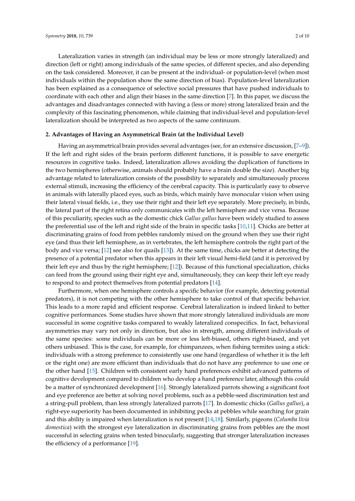Lateralization varies in strength (an individual may be less or more strongly lateralized) and direction (left or right) among individuals of the same species, of different species, and also depending on the task considered. Moreover, it can be present at the individual- or population-level (when most individuals within the population show the same direction of bias). Population-level lateralization has been explained as a consequence of selective social pressures that have pushed individuals to coordinate with each other and align their biases in the same direction [\[7\]](#page-6-6). In this paper, we discuss the advantages and disadvantages connected with having a (less or more) strong lateralized brain and the complexity of this fascinating phenomenon, while claiming that individual-level and population-level lateralization should be interpreted as two aspects of the same continuum.

## **2. Advantages of Having an Asymmetrical Brain (at the Individual Level)**

Having an asymmetrical brain provides several advantages (see, for an extensive discussion, [7-[9\]](#page-6-7)). If the left and right sides of the brain perform different functions, it is possible to save energetic resources in cognitive tasks. Indeed, lateralization allows avoiding the duplication of functions in the two hemispheres (otherwise, animals should probably have a brain double the size). Another big advantage related to lateralization consists of the possibility to separately and simultaneously process external stimuli, increasing the efficiency of the cerebral capacity. This is particularly easy to observe in animals with laterally placed eyes, such as birds, which mainly have monocular vision when using their lateral visual fields, i.e., they use their right and their left eye separately. More precisely, in birds, the lateral part of the right retina only communicates with the left hemisphere and vice versa. Because of this peculiarity, species such as the domestic chick *Gallus gallus* have been widely studied to assess the preferential use of the left and right side of the brain in specific tasks [\[10](#page-6-8)[,11\]](#page-7-0). Chicks are better at discriminating grains of food from pebbles randomly mixed on the ground when they use their right eye (and thus their left hemisphere, as in vertebrates, the left hemisphere controls the right part of the body and vice versa; [\[12\]](#page-7-1) see also for quails [\[13\]](#page-7-2)). At the same time, chicks are better at detecting the presence of a potential predator when this appears in their left visual hemi-field (and it is perceived by their left eye and thus by the right hemisphere; [\[12\]](#page-7-1)). Because of this functional specialization, chicks can feed from the ground using their right eye and, simultaneously, they can keep their left eye ready to respond to and protect themselves from potential predators [\[14\]](#page-7-3).

Furthermore, when one hemisphere controls a specific behavior (for example, detecting potential predators), it is not competing with the other hemisphere to take control of that specific behavior. This leads to a more rapid and efficient response. Cerebral lateralization is indeed linked to better cognitive performances. Some studies have shown that more strongly lateralized individuals are more successful in some cognitive tasks compared to weakly lateralized conspecifics. In fact, behavioral asymmetries may vary not only in direction, but also in strength, among different individuals of the same species: some individuals can be more or less left-biased, others right-biased, and yet others unbiased. This is the case, for example, for chimpanzees, when fishing termites using a stick: individuals with a strong preference to consistently use one hand (regardless of whether it is the left or the right one) are more efficient than individuals that do not have any preference to use one or the other hand [\[15\]](#page-7-4). Children with consistent early hand preferences exhibit advanced patterns of cognitive development compared to children who develop a hand preference later, although this could be a matter of synchronized development [\[16\]](#page-7-5). Strongly lateralized parrots showing a significant foot and eye preference are better at solving novel problems, such as a pebble-seed discrimination test and a string-pull problem, than less strongly lateralized parrots [\[17\]](#page-7-6). In domestic chicks (*Gallus gallus*), a right-eye superiority has been documented in inhibiting pecks at pebbles while searching for grain and this ability is impaired when lateralization is not present [\[14](#page-7-3)[,18\]](#page-7-7). Similarly, pigeons (*Columba livia domestica*) with the strongest eye lateralization in discriminating grains from pebbles are the most successful in selecting grains when tested binocularly, suggesting that stronger lateralization increases the efficiency of a performance [\[19\]](#page-7-8).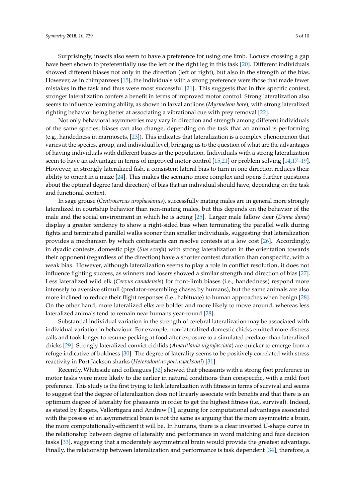Surprisingly, insects also seem to have a preference for using one limb. Locusts crossing a gap have been shown to preferentially use the left or the right leg in this task [\[20\]](#page-7-9). Different individuals showed different biases not only in the direction (left or right), but also in the strength of the bias. However, as in chimpanzees [\[15\]](#page-7-4), the individuals with a strong preference were those that made fewer mistakes in the task and thus were most successful [\[21\]](#page-7-10). This suggests that in this specific context, stronger lateralization confers a benefit in terms of improved motor control. Strong lateralization also seems to influence learning ability, as shown in larval antlions (*Myrmeleon bore*), with strong lateralized righting behavior being better at associating a vibrational cue with prey removal [\[22\]](#page-7-11).

Not only behavioral asymmetries may vary in direction and strength among different individuals of the same species; biases can also change, depending on the task that an animal is performing (e.g., handedness in marmosets, [\[23\]](#page-7-12)). This indicates that lateralization is a complex phenomenon that varies at the species, group, and individual level, bringing us to the question of what are the advantages of having individuals with different biases in the population. Individuals with a strong lateralization seem to have an advantage in terms of improved motor control [\[15,](#page-7-4)[21\]](#page-7-10) or problem solving [\[14](#page-7-3)[,17–](#page-7-6)[19\]](#page-7-8). However, in strongly lateralized fish, a consistent lateral bias to turn in one direction reduces their ability to orient in a maze [\[24\]](#page-7-13). This makes the scenario more complex and opens further questions about the optimal degree (and direction) of bias that an individual should have, depending on the task and functional context.

In sage grouse (*Centrocercus urophasianus*), successfully mating males are in general more strongly lateralized in courtship behavior than non-mating males, but this depends on the behavior of the male and the social environment in which he is acting [\[25\]](#page-7-14). Larger male fallow deer (*Dama dama*) display a greater tendency to show a right-sided bias when terminating the parallel walk during fights and terminated parallel walks sooner than smaller individuals, suggesting that lateralization provides a mechanism by which contestants can resolve contests at a low cost [\[26\]](#page-7-15). Accordingly, in dyadic contests, domestic pigs (*Sus scrofa*) with strong lateralization in the orientation towards their opponent (regardless of the direction) have a shorter contest duration than conspecific, with a weak bias. However, although lateralization seems to play a role in conflict resolution, it does not influence fighting success, as winners and losers showed a similar strength and direction of bias [\[27\]](#page-7-16). Less lateralized wild elk (*Cervus canadensis*) for front-limb biases (i.e., handedness) respond more intensely to aversive stimuli (predator-resembling chases by humans), but the same animals are also more inclined to reduce their flight responses (i.e., habituate) to human approaches when benign [\[28\]](#page-7-17). On the other hand, more lateralized elks are bolder and more likely to move around, whereas less lateralized animals tend to remain near humans year-round [\[28\]](#page-7-17).

Substantial individual variation in the strength of cerebral lateralization may be associated with individual variation in behaviour. For example, non-lateralized domestic chicks emitted more distress calls and took longer to resume pecking at food after exposure to a simulated predator than lateralized chicks [\[29\]](#page-7-18). Strongly lateralized convict cichlids (*Amatitlania nigrofasciata*) are quicker to emerge from a refuge indicative of boldness [\[30\]](#page-7-19). The degree of laterality seems to be positively correlated with stress reactivity in Port Jackson sharks (*Heterodontus portusjacksoni*) [\[31\]](#page-7-20).

Recently, Whiteside and colleagues [\[32\]](#page-7-21) showed that pheasants with a strong foot preference in motor tasks were more likely to die earlier in natural conditions than conspecific, with a mild foot preference. This study is the first trying to link lateralization with fitness in terms of survival and seems to suggest that the degree of lateralization does not linearly associate with benefits and that there is an optimum degree of laterality for pheasants in order to get the highest fitness (i.e., survival). Indeed, as stated by Rogers, Vallortigara and Andrew [\[1\]](#page-6-0), arguing for computational advantages associated with the possess of an asymmetrical brain is not the same as arguing that the more asymmetric a brain, the more computationally-efficient it will be. In humans, there is a clear inverted U-shape curve in the relationship between degree of laterality and performance in word matching and face decision tasks [\[33\]](#page-7-22), suggesting that a moderately asymmetrical brain would provide the greatest advantage. Finally, the relationship between lateralization and performance is task dependent [\[34\]](#page-7-23); therefore, a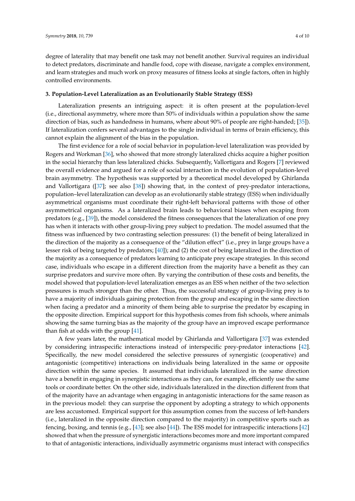degree of laterality that may benefit one task may not benefit another. Survival requires an individual to detect predators, discriminate and handle food, cope with disease, navigate a complex environment, and learn strategies and much work on proxy measures of fitness looks at single factors, often in highly controlled environments.

### **3. Population-Level Lateralization as an Evolutionarily Stable Strategy (ESS)**

Lateralization presents an intriguing aspect: it is often present at the population-level (i.e., directional asymmetry, where more than 50% of individuals within a population show the same direction of bias, such as handedness in humans, where about 90% of people are right-handed; [\[35\]](#page-7-24)). If lateralization confers several advantages to the single individual in terms of brain efficiency, this cannot explain the alignment of the bias in the population.

The first evidence for a role of social behavior in population-level lateralization was provided by Rogers and Workman [\[36\]](#page-8-0), who showed that more strongly lateralized chicks acquire a higher position in the social hierarchy than less lateralized chicks. Subsequently, Vallortigara and Rogers [\[7\]](#page-6-6) reviewed the overall evidence and argued for a role of social interaction in the evolution of population-level brain asymmetry. The hypothesis was supported by a theoretical model developed by Ghirlanda and Vallortigara ([\[37\]](#page-8-1); see also [\[38\]](#page-8-2)) showing that, in the context of prey-predator interactions, population–level lateralization can develop as an evolutionarily stable strategy (ESS) when individually asymmetrical organisms must coordinate their right-left behavioral patterns with those of other asymmetrical organisms. As a lateralized brain leads to behavioral biases when escaping from predators (e.g., [\[39\]](#page-8-3)), the model considered the fitness consequences that the lateralization of one prey has when it interacts with other group-living prey subject to predation. The model assumed that the fitness was influenced by two contrasting selection pressures: (1) the benefit of being lateralized in the direction of the majority as a consequence of the "dilution effect" (i.e., prey in large groups have a lesser risk of being targeted by predators; [\[40\]](#page-8-4)); and (2) the cost of being lateralized in the direction of the majority as a consequence of predators learning to anticipate prey escape strategies. In this second case, individuals who escape in a different direction from the majority have a benefit as they can surprise predators and survive more often. By varying the contribution of these costs and benefits, the model showed that population-level lateralization emerges as an ESS when neither of the two selection pressures is much stronger than the other. Thus, the successful strategy of group-living prey is to have a majority of individuals gaining protection from the group and escaping in the same direction when facing a predator and a minority of them being able to surprise the predator by escaping in the opposite direction. Empirical support for this hypothesis comes from fish schools, where animals showing the same turning bias as the majority of the group have an improved escape performance than fish at odds with the group  $[41]$ .

A few years later, the mathematical model by Ghirlanda and Vallortigara [\[37\]](#page-8-1) was extended by considering intraspecific interactions instead of interspecific prey-predator interactions [\[42\]](#page-8-6). Specifically, the new model considered the selective pressures of synergistic (cooperative) and antagonistic (competitive) interactions on individuals being lateralized in the same or opposite direction within the same species. It assumed that individuals lateralized in the same direction have a benefit in engaging in synergistic interactions as they can, for example, efficiently use the same tools or coordinate better. On the other side, individuals lateralized in the direction different from that of the majority have an advantage when engaging in antagonistic interactions for the same reason as in the previous model: they can surprise the opponent by adopting a strategy to which opponents are less accustomed. Empirical support for this assumption comes from the success of left-handers (i.e., lateralized in the opposite direction compared to the majority) in competitive sports such as fencing, boxing, and tennis (e.g., [\[43\]](#page-8-7); see also [\[44\]](#page-8-8)). The ESS model for intraspecific interactions [\[42\]](#page-8-6) showed that when the pressure of synergistic interactions becomes more and more important compared to that of antagonistic interactions, individually asymmetric organisms must interact with conspecifics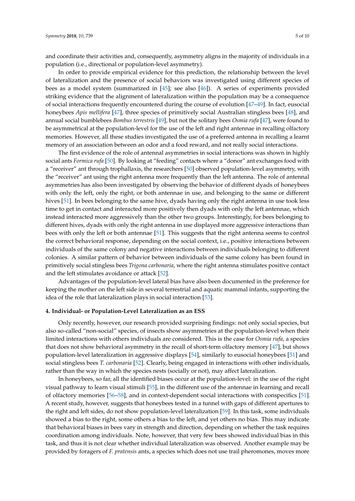and coordinate their activities and, consequently, asymmetry aligns in the majority of individuals in a population (i.e., directional or population-level asymmetry).

In order to provide empirical evidence for this prediction, the relationship between the level of lateralization and the presence of social behaviors was investigated using different species of bees as a model system (summarized in [\[45\]](#page-8-9); see also [\[46\]](#page-8-10)). A series of experiments provided striking evidence that the alignment of lateralization within the population may be a consequence of social interactions frequently encountered during the course of evolution [\[47](#page-8-11)[–49\]](#page-8-12). In fact, eusocial honeybees *Apis mellifera* [\[47\]](#page-8-11), three species of primitively social Australian stingless bees [\[48\]](#page-8-13), and annual social bumblebees *Bombus terrestris* [\[49\]](#page-8-12), but not the solitary bees *Osmia rufa* [\[47\]](#page-8-11), were found to be asymmetrical at the population-level for the use of the left and right antennae in recalling olfactory memories. However, all these studies investigated the use of a preferred antenna in recalling a learnt memory of an association between an odor and a food reward, and not really social interactions.

The first evidence of the role of antennal asymmetries in social interactions was shown in highly social ants *Formica rufa* [\[50\]](#page-8-14). By looking at "feeding" contacts where a "donor" ant exchanges food with a "receiver" ant through trophallaxis, the researchers [\[50\]](#page-8-14) observed population-level asymmetry, with the "receiver" ant using the right antenna more frequently than the left antenna. The role of antennal asymmetries has also been investigated by observing the behavior of different dyads of honeybees with only the left, only the right, or both antennae in use, and belonging to the same or different hives [\[51\]](#page-8-15). In bees belonging to the same hive, dyads having only the right antenna in use took less time to get in contact and interacted more positively then dyads with only the left antennae, which instead interacted more aggressively than the other two groups. Interestingly, for bees belonging to different hives, dyads with only the right antenna in use displayed more aggressive interactions than bees with only the left or both antennae [\[51\]](#page-8-15). This suggests that the right antenna seems to control the correct behavioral response, depending on the social context, i.e., positive interactions between individuals of the same colony and negative interactions between individuals belonging to different colonies. A similar pattern of behavior between individuals of the same colony has been found in primitively social stingless bees *Trigona carbonaria*, where the right antenna stimulates positive contact and the left stimulates avoidance or attack [\[52\]](#page-8-16).

Advantages of the population-level lateral bias have also been documented in the preference for keeping the mother on the left side in several terrestrial and aquatic mammal infants, supporting the idea of the role that lateralization plays in social interaction [\[53\]](#page-8-17).

#### **4. Individual- or Population-Level Lateralization as an ESS**

Only recently, however, our research provided surprising findings: not only social species, but also so-called "non-social" species, of insects show asymmetries at the population-level when their limited interactions with others individuals are considered. This is the case for *Osmia rufa*, a species that does not show behavioral asymmetry in the recall of short-term olfactory memory [\[47\]](#page-8-11), but shows population-level lateralization in aggressive displays [\[54\]](#page-8-18), similarly to eusocial honeybees [\[51\]](#page-8-15) and social stingless bees *T. carbonaria* [\[52\]](#page-8-16). Clearly, being engaged in interactions with other individuals, rather than the way in which the species nests (socially or not), may affect lateralization.

In honeybees, so far, all the identified biases occur at the population-level: in the use of the right visual pathway to learn visual stimuli [\[55\]](#page-8-19), in the different use of the antennae in learning and recall of olfactory memories [\[56–](#page-8-20)[58\]](#page-8-21), and in context-dependent social interactions with conspecifics [\[51\]](#page-8-15). A recent study, however, suggests that honeybees tested in a tunnel with gaps of different apertures to the right and left sides, do not show population-level lateralization [\[59\]](#page-8-22). In this task, some individuals showed a bias to the right, some others a bias to the left, and yet others no bias. This may indicate that behavioral biases in bees vary in strength and direction, depending on whether the task requires coordination among individuals. Note, however, that very few bees showed individual bias in this task, and thus it is not clear whether individual lateralization was observed. Another example may be provided by foragers of *F. pratensis* ants, a species which does not use trail pheromones, moves more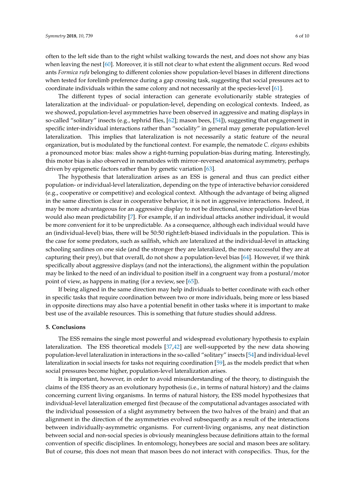often to the left side than to the right whilst walking towards the nest, and does not show any bias when leaving the nest [\[60\]](#page-8-23). Moreover, it is still not clear to what extent the alignment occurs. Red wood ants *Formica rufa* belonging to different colonies show population-level biases in different directions when tested for forelimb preference during a gap crossing task, suggesting that social pressures act to coordinate individuals within the same colony and not necessarily at the species-level [\[61\]](#page-9-0).

The different types of social interaction can generate evolutionarily stable strategies of lateralization at the individual- or population-level, depending on ecological contexts. Indeed, as we showed, population-level asymmetries have been observed in aggressive and mating displays in so-called "solitary" insects (e.g., tephrid flies, [\[62\]](#page-9-1); mason bees, [\[54\]](#page-8-18)), suggesting that engagement in specific inter-individual interactions rather than "sociality" in general may generate population-level lateralization. This implies that lateralization is not necessarily a static feature of the neural organization, but is modulated by the functional context. For example, the nematode *C. elegans* exhibits a pronounced motor bias: males show a right-turning population-bias during mating. Interestingly, this motor bias is also observed in nematodes with mirror–reversed anatomical asymmetry, perhaps driven by epigenetic factors rather than by genetic variation [\[63\]](#page-9-2).

The hypothesis that lateralization arises as an ESS is general and thus can predict either population- or individual-level lateralization, depending on the type of interactive behavior considered (e.g., cooperative or competitive) and ecological context. Although the advantage of being aligned in the same direction is clear in cooperative behavior, it is not in aggressive interactions. Indeed, it may be more advantageous for an aggressive display to not be directional, since population-level bias would also mean predictability [\[7\]](#page-6-6). For example, if an individual attacks another individual, it would be more convenient for it to be unpredictable. As a consequence, although each individual would have an (individual-level) bias, there will be 50:50 right:left-biased individuals in the population. This is the case for some predators, such as sailfish, which are lateralized at the individual-level in attacking schooling sardines on one side (and the stronger they are lateralized, the more successful they are at capturing their prey), but that overall, do not show a population-level bias [\[64\]](#page-9-3). However, if we think specifically about aggressive displays (and not the interactions), the alignment within the population may be linked to the need of an individual to position itself in a congruent way from a postural/motor point of view, as happens in mating (for a review, see [\[65\]](#page-9-4)).

If being aligned in the same direction may help individuals to better coordinate with each other in specific tasks that require coordination between two or more individuals, being more or less biased in opposite directions may also have a potential benefit in other tasks where it is important to make best use of the available resources. This is something that future studies should address.

#### **5. Conclusions**

The ESS remains the single most powerful and widespread evolutionary hypothesis to explain lateralization. The ESS theoretical models [\[37](#page-8-1)[,42\]](#page-8-6) are well-supported by the new data showing population-level lateralization in interactions in the so-called "solitary" insects [\[54\]](#page-8-18) and individual-level lateralization in social insects for tasks not requiring coordination [\[59\]](#page-8-22), as the models predict that when social pressures become higher, population-level lateralization arises.

It is important, however, in order to avoid misunderstanding of the theory, to distinguish the claims of the ESS theory as an evolutionary hypothesis (i.e., in terms of natural history) and the claims concerning current living organisms. In terms of natural history, the ESS model hypothesizes that individual-level lateralization emerged first (because of the computational advantages associated with the individual possession of a slight asymmetry between the two halves of the brain) and that an alignment in the direction of the asymmetries evolved subsequently as a result of the interactions between individually-asymmetric organisms. For current-living organisms, any neat distinction between social and non-social species is obviously meaningless because definitions attain to the formal convention of specific disciplines. In entomology, honeybees are social and mason bees are solitary. But of course, this does not mean that mason bees do not interact with conspecifics. Thus, for the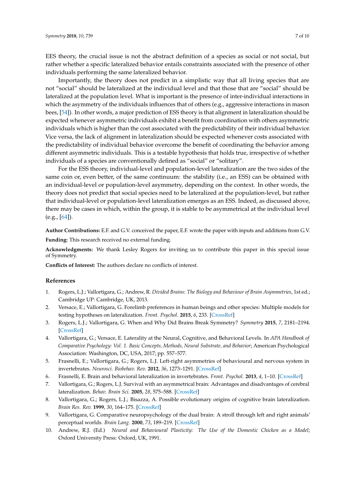EES theory, the crucial issue is not the abstract definition of a species as social or not social, but rather whether a specific lateralized behavior entails constraints associated with the presence of other individuals performing the same lateralized behavior.

Importantly, the theory does not predict in a simplistic way that all living species that are not "social" should be lateralized at the individual level and that those that are "social" should be lateralized at the population level. What is important is the presence of inter-individual interactions in which the asymmetry of the individuals influences that of others (e.g., aggressive interactions in mason bees, [\[54\]](#page-8-18)). In other words, a major prediction of ESS theory is that alignment in lateralization should be expected whenever asymmetric individuals exhibit a benefit from coordination with others asymmetric individuals which is higher than the cost associated with the predictability of their individual behavior. Vice versa, the lack of alignment in lateralization should be expected whenever costs associated with the predictability of individual behavior overcome the benefit of coordinating the behavior among different asymmetric individuals. This is a testable hypothesis that holds true, irrespective of whether individuals of a species are conventionally defined as "social" or "solitary".

For the ESS theory, individual-level and population-level lateralization are the two sides of the same coin or, even better, of the same continuum: the stability (i.e., an ESS) can be obtained with an individual-level or population-level asymmetry, depending on the context. In other words, the theory does not predict that social species need to be lateralized at the population-level, but rather that individual-level or population-level lateralization emerges as an ESS. Indeed, as discussed above, there may be cases in which, within the group, it is stable to be asymmetrical at the individual level (e.g., [\[64\]](#page-9-3)).

**Author Contributions:** E.F. and G.V. conceived the paper, E.F. wrote the paper with inputs and additions from G.V.

**Funding:** This research received no external funding.

**Acknowledgments:** We thank Lesley Rogers for inviting us to contribute this paper in this special issue of Symmetry.

**Conflicts of Interest:** The authors declare no conflicts of interest.

### **References**

- <span id="page-6-0"></span>1. Rogers, L.J.; Vallortigara, G.; Andrew, R. *Divided Brains: The Biology and Behaviour of Brain Asymmetries*, 1st ed.; Cambridge UP: Cambridge, UK, 2013.
- <span id="page-6-1"></span>2. Versace, E.; Vallortigara, G. Forelimb preferences in human beings and other species: Multiple models for testing hypotheses on lateralization. *Front. Psychol.* **2015**, *6*, 233. [\[CrossRef\]](http://dx.doi.org/10.3389/fpsyg.2015.00233)
- <span id="page-6-2"></span>3. Rogers, L.J.; Vallortigara, G. When and Why Did Brains Break Symmetry? *Symmetry* **2015**, *7*, 2181–2194. [\[CrossRef\]](http://dx.doi.org/10.3390/sym7042181)
- <span id="page-6-3"></span>4. Vallortigara, G.; Versace, E. Laterality at the Neural, Cognitive, and Behavioral Levels. In *APA Handbook of Comparative Psychology: Vol. 1. Basic Concepts, Methods, Neural Substrate, and Behavior*; American Psychological Association: Washington, DC, USA, 2017; pp. 557–577.
- <span id="page-6-4"></span>5. Frasnelli, E.; Vallortigara, G.; Rogers, L.J. Left-right asymmetries of behavioural and nervous system in invertebrates. *Neurosci. Biobehav. Rev.* **2012**, *36*, 1273–1291. [\[CrossRef\]](http://dx.doi.org/10.1016/j.neubiorev.2012.02.006)
- <span id="page-6-5"></span>6. Frasnelli, E. Brain and behavioral lateralization in invertebrates. *Front. Psychol.* **2013**, *4*, 1–10. [\[CrossRef\]](http://dx.doi.org/10.3389/fpsyg.2013.00939)
- <span id="page-6-6"></span>7. Vallortigara, G.; Rogers, L.J. Survival with an asymmetrical brain: Advantages and disadvantages of cerebral lateralization. *Behav. Brain Sci.* **2005**, *28*, 575–588. [\[CrossRef\]](http://dx.doi.org/10.1017/S0140525X05000105)
- 8. Vallortigara, G.; Rogers, L.J.; Bisazza, A. Possible evolutionary origins of cognitive brain lateralization. *Brain Res. Rev.* **1999**, *30*, 164–175. [\[CrossRef\]](http://dx.doi.org/10.1016/S0165-0173(99)00012-0)
- <span id="page-6-7"></span>9. Vallortigara, G. Comparative neuropsychology of the dual brain: A stroll through left and right animals' perceptual worlds. *Brain Lang.* **2000**, *73*, 189–219. [\[CrossRef\]](http://dx.doi.org/10.1006/brln.2000.2303)
- <span id="page-6-8"></span>10. Andrew, R.J. (Ed.) *Neural and Behavioural Plasticity: The Use of the Domestic Chicken as a Model*; Oxford University Press: Oxford, UK, 1991.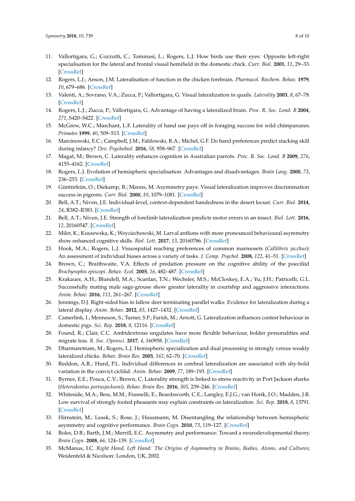- <span id="page-7-0"></span>11. Vallortigara, G.; Cozzutti, C.; Tommasi, L.; Rogers, L.J. How birds use their eyes: Opposite left-right specialisation for the lateral and frontal visual hemifield in the domestic chick. *Curr. Biol.* **2001**, *11*, 29–33. [\[CrossRef\]](http://dx.doi.org/10.1016/S0960-9822(00)00027-0)
- <span id="page-7-1"></span>12. Rogers, L.J.; Anson, J.M. Lateralisation of function in the chicken forebrain. *Pharmacol. Biochem. Behav.* **1979**, *10*, 679–686. [\[CrossRef\]](http://dx.doi.org/10.1016/0091-3057(79)90320-4)
- <span id="page-7-2"></span>13. Valenti, A.; Sovrano, V.A.; Zucca, P.; Vallortigara, G. Visual lateralization in quails. *Laterality* **2003**, *8*, 67–78. [\[CrossRef\]](http://dx.doi.org/10.1080/713754470)
- <span id="page-7-3"></span>14. Rogers, L.J.; Zucca, P.; Vallortigara, G. Advantage of having a lateralized brain. *Proc. R. Soc. Lond. B* **2004**, *271*, S420–S422. [\[CrossRef\]](http://dx.doi.org/10.1098/rsbl.2004.0200)
- <span id="page-7-4"></span>15. McGrew, W.C.; Marchant, L.F. Laterality of hand use pays off in foraging success for wild chimpanzees. *Primates* **1999**, *40*, 509–513. [\[CrossRef\]](http://dx.doi.org/10.1007/BF02557586)
- <span id="page-7-5"></span>16. Marcinowski, E.C.; Campbell, J.M.; Faldowski, R.A.; Michel, G.F. Do hand preferences predict stacking skill during infancy? *Dev. Psychobiol.* **2016**, *58*, 958–967. [\[CrossRef\]](http://dx.doi.org/10.1002/dev.21426)
- <span id="page-7-6"></span>17. Magat, M.; Brown, C. Laterality enhances cognition in Australian parrots. *Proc. R. Soc. Lond. B* **2009**, *276*, 4155–4162. [\[CrossRef\]](http://dx.doi.org/10.1098/rspb.2009.1397)
- <span id="page-7-7"></span>18. Rogers, L.J. Evolution of hemispheric specialisation: Advantages and disadvantages. *Brain Lang.* **2000**, *73*, 236–253. [\[CrossRef\]](http://dx.doi.org/10.1006/brln.2000.2305)
- <span id="page-7-8"></span>19. Güntürkün, O.; Diekamp, B.; Manns, M. Asymmetry pays: Visual lateralization improves discrimination success in pigeons. *Curr. Biol.* **2000**, *10*, 1079–1081. [\[CrossRef\]](http://dx.doi.org/10.1016/S0960-9822(00)00671-0)
- <span id="page-7-9"></span>20. Bell, A.T.; Niven, J.E. Individual-level, context-dependent handedness in the desert locust. *Curr. Biol.* **2014**, *24*, R382–R383. [\[CrossRef\]](http://dx.doi.org/10.1016/j.cub.2014.03.064)
- <span id="page-7-10"></span>21. Bell, A.T.; Niven, J.E. Strength of forelimb lateralization predicts motor errors in an insect. *Biol. Lett.* **2016**, *12*, 20160547. [\[CrossRef\]](http://dx.doi.org/10.1098/rsbl.2016.0547)
- <span id="page-7-11"></span>22. Miler, K.; Kuszewska, K.; Woyciechowski, M. Larval antlions with more pronounced behavioural asymmetry show enhanced cognitive skills. *Biol. Lett.* **2017**, *13*, 20160786. [\[CrossRef\]](http://dx.doi.org/10.1098/rsbl.2016.0786)
- <span id="page-7-12"></span>23. Hook, M.A.; Rogers, L.J. Visuospatial reaching preferences of common marmosets (*Callithrix jacchus*): An assessment of individual biases across a variety of tasks. *J. Comp. Psychol.* **2008**, *122*, 41–51. [\[CrossRef\]](http://dx.doi.org/10.1037/0735-7036.122.1.41)
- <span id="page-7-13"></span>24. Brown, C.; Braithwaite, V.A. Effects of predation pressure on the cognitive ability of the poeciliid *Brachyraphis episcopi*. *Behav. Ecol.* **2005**, *16*, 482–487. [\[CrossRef\]](http://dx.doi.org/10.1093/beheco/ari016)
- <span id="page-7-14"></span>25. Krakauer, A.H.; Blundell, M.A.; Scanlan, T.N.; Wechsler, M.S.; McCloskey, E.A.; Yu, J.H.; Patricelli, G.L. Successfully mating male sage-grouse show greater laterality in courtship and aggressive interactions. *Anim. Behav.* **2016**, *111*, 261–267. [\[CrossRef\]](http://dx.doi.org/10.1016/j.anbehav.2015.10.031)
- <span id="page-7-15"></span>26. Jennings, D.J. Right-sided bias in fallow deer terminating parallel walks: Evidence for lateralization during a lateral display. *Anim. Behav.* **2012**, *83*, 1427–1432. [\[CrossRef\]](http://dx.doi.org/10.1016/j.anbehav.2012.03.014)
- <span id="page-7-16"></span>27. Camerlink, I.; Menneson, S.; Turner, S.P.; Farish, M.; Arnott, G. Lateralization influences contest behaviour in domestic pigs. *Sci. Rep.* **2018**, *8*, 12116. [\[CrossRef\]](http://dx.doi.org/10.1038/s41598-018-30634-z)
- <span id="page-7-17"></span>28. Found, R.; Clair, C.C. Ambidextrous ungulates have more flexible behaviour, bolder personalities and migrate less. *R. Soc. Opensci.* **2017**, *4*, 160958. [\[CrossRef\]](http://dx.doi.org/10.1098/rsos.160958)
- <span id="page-7-18"></span>29. Dharmaretnam, M.; Rogers, L.J. Hemispheric specialization and dual processing in strongly versus weakly lateralized chicks. *Behav. Brain Res.* **2005**, *162*, 62–70. [\[CrossRef\]](http://dx.doi.org/10.1016/j.bbr.2005.03.012)
- <span id="page-7-19"></span>30. Reddon, A.R.; Hurd, P.L. Individual differences in cerebral lateralization are associated with shy-bold variation in the convict cichlid. *Anim. Behav.* **2009**, *77*, 189–193. [\[CrossRef\]](http://dx.doi.org/10.1016/j.anbehav.2008.09.026)
- <span id="page-7-20"></span>31. Byrnes, E.E.; Pouca, C.V.; Brown, C. Laterality strength is linked to stress reactivity in Port Jackson sharks (*Heterodontus portusjacksoni*). *Behav. Brain Res.* **2016**, *305*, 239–246. [\[CrossRef\]](http://dx.doi.org/10.1016/j.bbr.2016.02.033)
- <span id="page-7-21"></span>32. Whiteside, M.A.; Bess, M.M.; Frasnelli, E.; Beardsworth, C.E.; Langley, E.J.G.; van Horik, J.O.; Madden, J.R. Low survival of strongly footed pheasants may explain constraints on lateralization. *Sci. Rep.* **2018**, *8*, 13791. [\[CrossRef\]](http://dx.doi.org/10.1038/s41598-018-32066-1)
- <span id="page-7-22"></span>33. Hirnstein, M.; Leask, S.; Rose, J.; Hausmann, M. Disentangling the relationship between hemispheric asymmetry and cognitive performance. *Brain Cogn.* **2010**, *73*, 119–127. [\[CrossRef\]](http://dx.doi.org/10.1016/j.bandc.2010.04.002)
- <span id="page-7-23"></span>34. Boles, D.B.; Barth, J.M.; Merrill, E.C. Asymmetry and performance: Toward a neurodevelopmental theory. *Brain Cogn.* **2008**, *66*, 124–139. [\[CrossRef\]](http://dx.doi.org/10.1016/j.bandc.2007.06.002)
- <span id="page-7-24"></span>35. McManus, I.C. *Right Hand, Left Hand: The Origins of Asymmetry in Brains, Bodies, Atoms, and Cultures*; Weidenfeld & Nicolson: London, UK, 2002.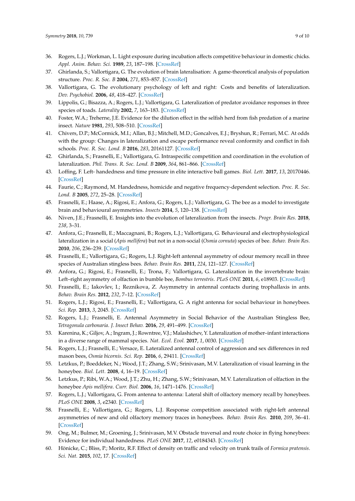- <span id="page-8-0"></span>36. Rogers, L.J.; Workman, L. Light exposure during incubation affects competitive behaviour in domestic chicks. *Appl. Anim. Behav. Sci.* **1989**, *23*, 187–198. [\[CrossRef\]](http://dx.doi.org/10.1016/0168-1591(89)90109-3)
- <span id="page-8-1"></span>37. Ghirlanda, S.; Vallortigara, G. The evolution of brain lateralisation: A game-theoretical analysis of population structure. *Proc. R. Soc. B* **2004**, *271*, 853–857. [\[CrossRef\]](http://dx.doi.org/10.1098/rspb.2003.2669)
- <span id="page-8-2"></span>38. Vallortigara, G. The evolutionary psychology of left and right: Costs and benefits of lateralization. *Dev. Psychobiol.* **2006**, *48*, 418–427. [\[CrossRef\]](http://dx.doi.org/10.1002/dev.20166)
- <span id="page-8-3"></span>39. Lippolis, G.; Bisazza, A.; Rogers, L.J.; Vallortigara, G. Lateralization of predator avoidance responses in three species of toads. *Laterality* **2002**, *7*, 163–183. [\[CrossRef\]](http://dx.doi.org/10.1080/13576500143000221)
- <span id="page-8-4"></span>40. Foster, W.A.; Treherne, J.E. Evidence for the dilution effect in the selfish herd from fish predation of a marine insect. *Nature* **1981**, *293*, 508–510. [\[CrossRef\]](http://dx.doi.org/10.1038/293466a0)
- <span id="page-8-5"></span>41. Chivers, D.P.; McCormick, M.I.; Allan, B.J.; Mitchell, M.D.; Goncalves, E.J.; Bryshun, R.; Ferrari, M.C. At odds with the group: Changes in lateralization and escape performance reveal conformity and conflict in fish schools. *Proc. R. Soc. Lond. B* **2016**, *283*, 20161127. [\[CrossRef\]](http://dx.doi.org/10.1098/rspb.2016.1127)
- <span id="page-8-6"></span>42. Ghirlanda, S.; Frasnelli, E.; Vallortigara, G. Intraspecific competition and coordination in the evolution of lateralization. *Phil. Trans. R. Soc. Lond. B* **2009**, *364*, 861–866. [\[CrossRef\]](http://dx.doi.org/10.1098/rstb.2008.0227)
- <span id="page-8-7"></span>43. Loffing, F. Left- handedness and time pressure in elite interactive ball games. *Biol. Lett.* **2017**, *13*, 20170446. [\[CrossRef\]](http://dx.doi.org/10.1098/rsbl.2017.0446)
- <span id="page-8-8"></span>44. Faurie, C.; Raymond, M. Handedness, homicide and negative frequency-dependent selection. *Proc. R. Soc. Lond. B* **2005**, *272*, 25–28. [\[CrossRef\]](http://dx.doi.org/10.1098/rspb.2004.2926)
- <span id="page-8-9"></span>45. Frasnelli, E.; Haase, A.; Rigosi, E.; Anfora, G.; Rogers, L.J.; Vallortigara, G. The bee as a model to investigate brain and behavioural asymmetries. *Insects* **2014**, *5*, 120–138. [\[CrossRef\]](http://dx.doi.org/10.3390/insects5010120)
- <span id="page-8-10"></span>46. Niven, J.E.; Frasnelli, E. Insights into the evolution of lateralization from the insects. *Progr. Brain Res.* **2018**, *238*, 3–31.
- <span id="page-8-11"></span>47. Anfora, G.; Frasnelli, E.; Maccagnani, B.; Rogers, L.J.; Vallortigara, G. Behavioural and electrophysiological lateralization in a social (*Apis mellifera*) but not in a non-social (*Osmia cornuta*) species of bee. *Behav. Brain Res.* **2010**, *206*, 236–239. [\[CrossRef\]](http://dx.doi.org/10.1016/j.bbr.2009.09.023)
- <span id="page-8-13"></span>48. Frasnelli, E.; Vallortigara, G.; Rogers, L.J. Right-left antennal asymmetry of odour memory recall in three species of Australian stingless bees. *Behav. Brain Res.* **2011**, *224*, 121–127. [\[CrossRef\]](http://dx.doi.org/10.1016/j.bbr.2011.05.026)
- <span id="page-8-12"></span>49. Anfora, G.; Rigosi, E.; Frasnelli, E.; Trona, F.; Vallortigara, G. Lateralization in the invertebrate brain: Left–right asymmetry of olfaction in bumble bee, *Bombus terrestris*. *PLoS ONE* **2011**, *6*, e18903. [\[CrossRef\]](http://dx.doi.org/10.1371/journal.pone.0018903)
- <span id="page-8-14"></span>50. Frasnelli, E.; Iakovlev, I.; Reznikova, Z. Asymmetry in antennal contacts during trophallaxis in ants. *Behav. Brain Res.* **2012**, *232*, 7–12. [\[CrossRef\]](http://dx.doi.org/10.1016/j.bbr.2012.03.014)
- <span id="page-8-15"></span>51. Rogers, L.J.; Rigosi, E.; Frasnelli, E.; Vallortigara, G. A right antenna for social behaviour in honeybees. *Sci. Rep.* **2013**, *3*, 2045. [\[CrossRef\]](http://dx.doi.org/10.1038/srep02045)
- <span id="page-8-16"></span>52. Rogers, L.J.; Frasnelli, E. Antennal Asymmetry in Social Behavior of the Australian Stingless Bee, *Tetragonula carbonaria*. *J. Insect Behav.* **2016**, *29*, 491–499. [\[CrossRef\]](http://dx.doi.org/10.1007/s10905-016-9575-z)
- <span id="page-8-17"></span>53. Karenina, K.; Giljov, A.; Ingram, J.; Rowntree, V.J.; Malashichev, Y. Lateralization of mother–infant interactions in a diverse range of mammal species. *Nat. Ecol. Evol.* **2017**, *1*, 0030. [\[CrossRef\]](http://dx.doi.org/10.1038/s41559-016-0030)
- <span id="page-8-18"></span>54. Rogers, L.J.; Frasnelli, E.; Versace, E. Lateralized antennal control of aggression and sex differences in red mason bees, *Osmia bicornis*. *Sci. Rep.* **2016**, *6*, 29411. [\[CrossRef\]](http://dx.doi.org/10.1038/srep29411)
- <span id="page-8-19"></span>55. Letzkus, P.; Boeddeker, N.; Wood, J.T.; Zhang, S.W.; Srinivasan, M.V. Lateralization of visual learning in the honeybee. *Biol. Lett.* **2008**, *4*, 16–19. [\[CrossRef\]](http://dx.doi.org/10.1098/rsbl.2007.0466)
- <span id="page-8-20"></span>56. Letzkus, P.; Ribi, W.A.; Wood, J.T.; Zhu, H.; Zhang, S.W.; Srinivasan, M.V. Lateralization of olfaction in the honeybee *Apis mellifera*. *Curr. Biol.* **2006**, *16*, 1471–1476. [\[CrossRef\]](http://dx.doi.org/10.1016/j.cub.2006.05.060)
- 57. Rogers, L.J.; Vallortigara, G. From antenna to antenna: Lateral shift of olfactory memory recall by honeybees. *PLoS ONE* **2008**, *3*, e2340. [\[CrossRef\]](http://dx.doi.org/10.1371/journal.pone.0002340)
- <span id="page-8-21"></span>58. Frasnelli, E.; Vallortigara, G.; Rogers, L.J. Response competition associated with right-left antennal asymmetries of new and old olfactory memory traces in honeybees. *Behav. Brain Res.* **2010**, *209*, 36–41. [\[CrossRef\]](http://dx.doi.org/10.1016/j.bbr.2010.01.014)
- <span id="page-8-22"></span>59. Ong, M.; Bulmer, M.; Groening, J.; Srinivasan, M.V. Obstacle traversal and route choice in flying honeybees: Evidence for individual handedness. *PLoS ONE* **2017**, *12*, e0184343. [\[CrossRef\]](http://dx.doi.org/10.1371/journal.pone.0184343)
- <span id="page-8-23"></span>60. Hönicke, C.; Bliss, P.; Moritz, R.F. Effect of density on traffic and velocity on trunk trails of *Formica pratensis*. *Sci. Nat.* **2015**, *102*, 17. [\[CrossRef\]](http://dx.doi.org/10.1007/s00114-015-1267-6)